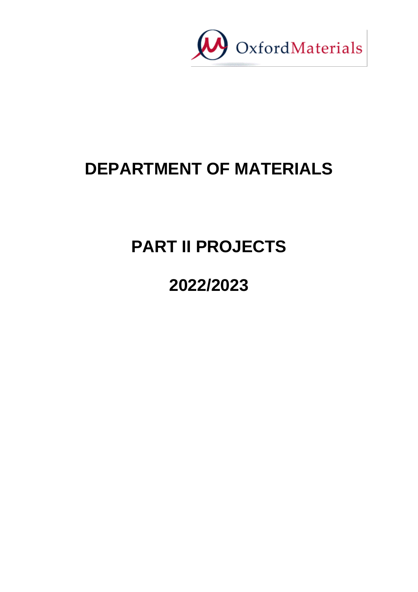

# **DEPARTMENT OF MATERIALS**

# **PART II PROJECTS**

# **2022/2023**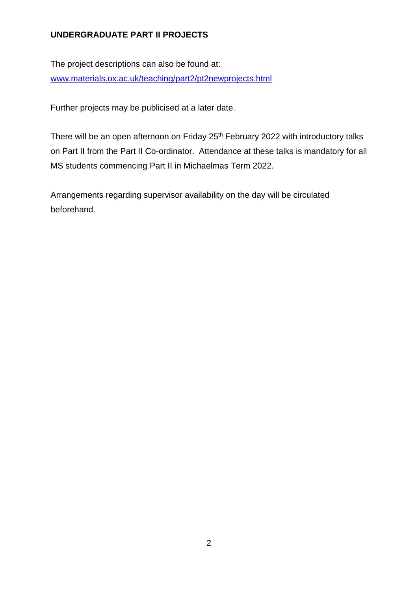#### **UNDERGRADUATE PART II PROJECTS**

The project descriptions can also be found at: [www.materials.ox.ac.uk/teaching/part2/pt2newprojects.html](http://www.materials.ox.ac.uk/teaching/part2/pt2newprojects.html)

Further projects may be publicised at a later date.

There will be an open afternoon on Friday 25<sup>th</sup> February 2022 with introductory talks on Part II from the Part II Co-ordinator. Attendance at these talks is mandatory for all MS students commencing Part II in Michaelmas Term 2022.

Arrangements regarding supervisor availability on the day will be circulated beforehand.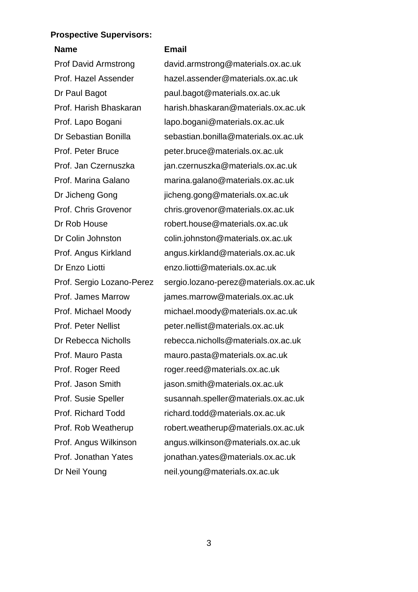#### **Prospective Supervisors:**

# **Name Email**

Prof David Armstrong david.armstrong@materials.ox.ac.uk Prof. Hazel Assender hazel.assender@materials.ox.ac.uk Dr Paul Bagot paul.bagot@materials.ox.ac.uk Prof. Harish Bhaskaran harish.bhaskaran@materials.ox.ac.uk Prof. Lapo Bogani lapo.bogani@materials.ox.ac.uk Dr Sebastian Bonilla sebastian.bonilla@materials.ox.ac.uk Prof. Peter Bruce peter.bruce@materials.ox.ac.uk Prof. Jan Czernuszka jan.czernuszka@materials.ox.ac.uk Prof. Marina Galano marina.galano@materials.ox.ac.uk Dr Jicheng Gong iicheng.gong@materials.ox.ac.uk Prof. Chris Grovenor chris.grovenor@materials.ox.ac.uk Dr Rob House robert.house@materials.ox.ac.uk Dr Colin Johnston colin.johnston@materials.ox.ac.uk Prof. Angus Kirkland angus.kirkland@materials.ox.ac.uk Dr Enzo Liotti enzo.liotti@materials.ox.ac.uk Prof. Sergio Lozano-Perez sergio.lozano-perez@materials.ox.ac.uk Prof. James Marrow james.marrow@materials.ox.ac.uk Prof. Michael Moody michael.moody@materials.ox.ac.uk Prof. Peter Nellist peter.nellist@materials.ox.ac.uk Dr Rebecca Nicholls rebecca.nicholls@materials.ox.ac.uk Prof. Mauro Pasta mauro.pasta@materials.ox.ac.uk Prof. Roger Reed roger.reed@materials.ox.ac.uk Prof. Jason Smith jason.smith@materials.ox.ac.uk Prof. Susie Speller susannah.speller@materials.ox.ac.uk Prof. Richard Todd richard.todd@materials.ox.ac.uk Prof. Rob Weatherup robert.weatherup@materials.ox.ac.uk Prof. Angus Wilkinson angus.wilkinson@materials.ox.ac.uk Prof. Jonathan Yates jonathan.yates@materials.ox.ac.uk Dr Neil Young neil.young@materials.ox.ac.uk

3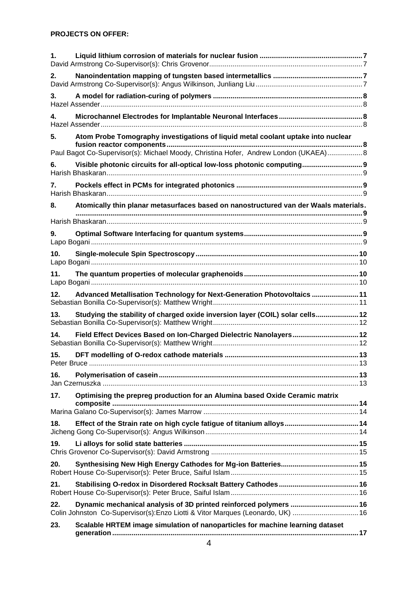| 1.  |                                                                                                                                                                 |  |
|-----|-----------------------------------------------------------------------------------------------------------------------------------------------------------------|--|
| 2.  |                                                                                                                                                                 |  |
| 3.  |                                                                                                                                                                 |  |
| 4.  |                                                                                                                                                                 |  |
| 5.  | Atom Probe Tomography investigations of liquid metal coolant uptake into nuclear                                                                                |  |
| 6.  | Paul Bagot Co-Supervisor(s): Michael Moody, Christina Hofer, Andrew London (UKAEA) 8<br>Visible photonic circuits for all-optical low-loss photonic computing 9 |  |
| 7.  |                                                                                                                                                                 |  |
| 8.  | Atomically thin planar metasurfaces based on nanostructured van der Waals materials.                                                                            |  |
|     |                                                                                                                                                                 |  |
| 9.  |                                                                                                                                                                 |  |
| 10. |                                                                                                                                                                 |  |
| 11. |                                                                                                                                                                 |  |
| 12. | Advanced Metallisation Technology for Next-Generation Photovoltaics  11                                                                                         |  |
| 13. | Studying the stability of charged oxide inversion layer (COIL) solar cells 12                                                                                   |  |
| 14. | Field Effect Devices Based on Ion-Charged Dielectric Nanolayers 12                                                                                              |  |
| 15. |                                                                                                                                                                 |  |
| 16. |                                                                                                                                                                 |  |
| 17. | Optimising the prepreg production for an Alumina based Oxide Ceramic matrix                                                                                     |  |
|     |                                                                                                                                                                 |  |
| 18. |                                                                                                                                                                 |  |
| 19. |                                                                                                                                                                 |  |
| 20. |                                                                                                                                                                 |  |
| 21. |                                                                                                                                                                 |  |
| 22. | Dynamic mechanical analysis of 3D printed reinforced polymers  16<br>Colin Johnston Co-Supervisor(s): Enzo Liotti & Vitor Marques (Leonardo, UK)  16            |  |
| 23. | Scalable HRTEM image simulation of nanoparticles for machine learning dataset                                                                                   |  |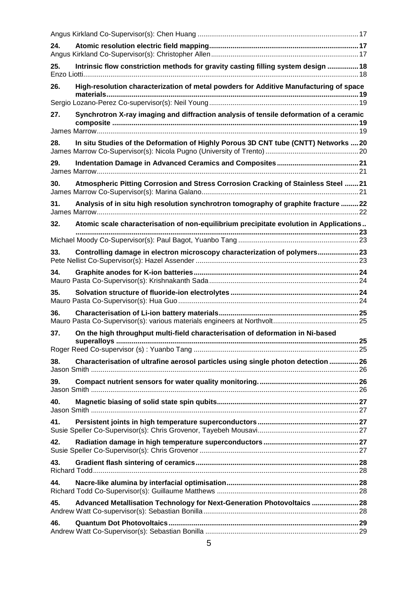| 24. |                                                                                        |    |
|-----|----------------------------------------------------------------------------------------|----|
| 25. | Intrinsic flow constriction methods for gravity casting filling system design  18      |    |
| 26. | High-resolution characterization of metal powders for Additive Manufacturing of space  |    |
|     |                                                                                        |    |
| 27. | Synchrotron X-ray imaging and diffraction analysis of tensile deformation of a ceramic |    |
|     |                                                                                        |    |
| 28. | In situ Studies of the Deformation of Highly Porous 3D CNT tube (CNTT) Networks  20    |    |
| 29. |                                                                                        |    |
| 30. | Atmospheric Pitting Corrosion and Stress Corrosion Cracking of Stainless Steel  21     |    |
| 31. | Analysis of in situ high resolution synchrotron tomography of graphite fracture  22    |    |
| 32. | Atomic scale characterisation of non-equilibrium precipitate evolution in Applications |    |
|     |                                                                                        |    |
| 33. | Controlling damage in electron microscopy characterization of polymers 23              |    |
| 34. |                                                                                        |    |
| 35. |                                                                                        |    |
| 36. |                                                                                        |    |
| 37. | On the high throughput multi-field characterisation of deformation in Ni-based         | 25 |
|     |                                                                                        |    |
| 38. | Characterisation of ultrafine aerosol particles using single photon detection  26      |    |
| 39. |                                                                                        |    |
| 40. |                                                                                        |    |
| 41. |                                                                                        |    |
| 42. |                                                                                        |    |
| 43. |                                                                                        |    |
| 44. |                                                                                        |    |
| 45. | Advanced Metallisation Technology for Next-Generation Photovoltaics  28                |    |
| 46. |                                                                                        |    |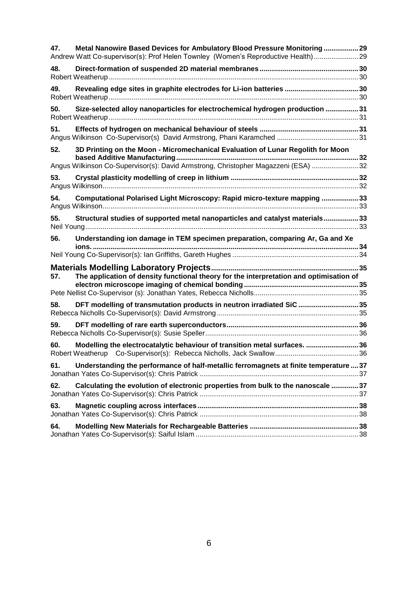| 47. | Metal Nanowire Based Devices for Ambulatory Blood Pressure Monitoring 29<br>Andrew Watt Co-supervisor(s): Prof Helen Townley (Women's Reproductive Health) 29 |  |
|-----|---------------------------------------------------------------------------------------------------------------------------------------------------------------|--|
| 48. |                                                                                                                                                               |  |
| 49. |                                                                                                                                                               |  |
| 50. | Size-selected alloy nanoparticles for electrochemical hydrogen production 31                                                                                  |  |
| 51. |                                                                                                                                                               |  |
| 52. | 3D Printing on the Moon - Micromechanical Evaluation of Lunar Regolith for Moon                                                                               |  |
|     | Angus Wilkinson Co-Supervisor(s): David Armstrong, Christopher Magazzeni (ESA) 32                                                                             |  |
| 53. |                                                                                                                                                               |  |
| 54. | Computational Polarised Light Microscopy: Rapid micro-texture mapping 33                                                                                      |  |
| 55. | Structural studies of supported metal nanoparticles and catalyst materials33                                                                                  |  |
| 56. | Understanding ion damage in TEM specimen preparation, comparing Ar, Ga and Xe                                                                                 |  |
|     |                                                                                                                                                               |  |
|     |                                                                                                                                                               |  |
| 57. | The application of density functional theory for the interpretation and optimisation of                                                                       |  |
|     |                                                                                                                                                               |  |
| 58. | DFT modelling of transmutation products in neutron irradiated SiC 35                                                                                          |  |
| 59. |                                                                                                                                                               |  |
| 60. | Modelling the electrocatalytic behaviour of transition metal surfaces. 36                                                                                     |  |
| 61. | Understanding the performance of half-metallic ferromagnets at finite temperature  37                                                                         |  |
| 62. | Calculating the evolution of electronic properties from bulk to the nanoscale 37                                                                              |  |
| 63. |                                                                                                                                                               |  |
| 64. |                                                                                                                                                               |  |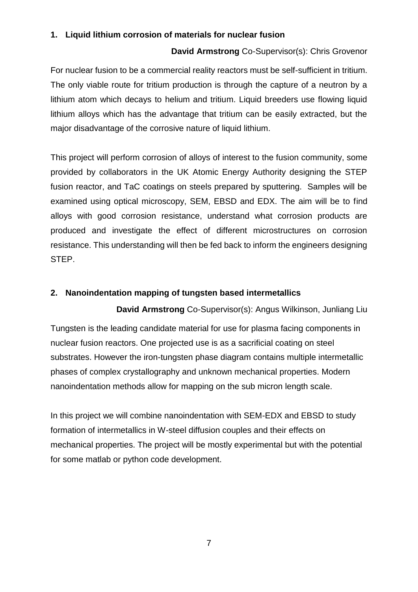#### <span id="page-6-1"></span><span id="page-6-0"></span>**1. Liquid lithium corrosion of materials for nuclear fusion**

#### **David Armstrong** Co-Supervisor(s): Chris Grovenor

For nuclear fusion to be a commercial reality reactors must be self-sufficient in tritium. The only viable route for tritium production is through the capture of a neutron by a lithium atom which decays to helium and tritium. Liquid breeders use flowing liquid lithium alloys which has the advantage that tritium can be easily extracted, but the major disadvantage of the corrosive nature of liquid lithium.

This project will perform corrosion of alloys of interest to the fusion community, some provided by collaborators in the UK Atomic Energy Authority designing the STEP fusion reactor, and TaC coatings on steels prepared by sputtering. Samples will be examined using optical microscopy, SEM, EBSD and EDX. The aim will be to find alloys with good corrosion resistance, understand what corrosion products are produced and investigate the effect of different microstructures on corrosion resistance. This understanding will then be fed back to inform the engineers designing STEP.

#### <span id="page-6-2"></span>**2. Nanoindentation mapping of tungsten based intermetallics**

<span id="page-6-3"></span>**David Armstrong** Co-Supervisor(s): Angus Wilkinson, Junliang Liu Tungsten is the leading candidate material for use for plasma facing components in nuclear fusion reactors. One projected use is as a sacrificial coating on steel substrates. However the iron-tungsten phase diagram contains multiple intermetallic phases of complex crystallography and unknown mechanical properties. Modern nanoindentation methods allow for mapping on the sub micron length scale.

In this project we will combine nanoindentation with SEM-EDX and EBSD to study formation of intermetallics in W-steel diffusion couples and their effects on mechanical properties. The project will be mostly experimental but with the potential for some matlab or python code development.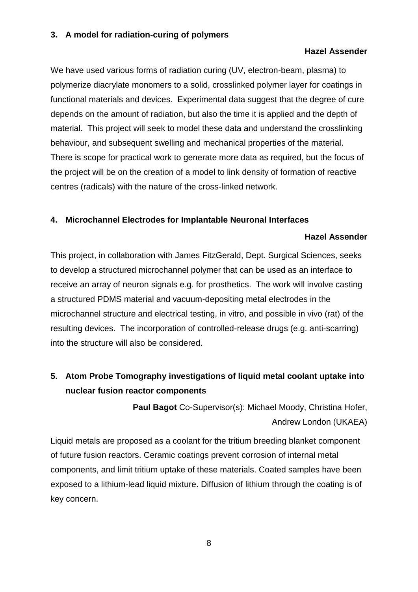#### <span id="page-7-1"></span><span id="page-7-0"></span>**3. A model for radiation-curing of polymers**

#### **Hazel Assender**

We have used various forms of radiation curing (UV, electron-beam, plasma) to polymerize diacrylate monomers to a solid, crosslinked polymer layer for coatings in functional materials and devices. Experimental data suggest that the degree of cure depends on the amount of radiation, but also the time it is applied and the depth of material. This project will seek to model these data and understand the crosslinking behaviour, and subsequent swelling and mechanical properties of the material. There is scope for practical work to generate more data as required, but the focus of the project will be on the creation of a model to link density of formation of reactive centres (radicals) with the nature of the cross-linked network.

#### <span id="page-7-3"></span><span id="page-7-2"></span>**4. Microchannel Electrodes for Implantable Neuronal Interfaces**

#### **Hazel Assender**

This project, in collaboration with James FitzGerald, Dept. Surgical Sciences, seeks to develop a structured microchannel polymer that can be used as an interface to receive an array of neuron signals e.g. for prosthetics. The work will involve casting a structured PDMS material and vacuum-depositing metal electrodes in the microchannel structure and electrical testing, in vitro, and possible in vivo (rat) of the resulting devices. The incorporation of controlled-release drugs (e.g. anti-scarring) into the structure will also be considered.

# <span id="page-7-5"></span><span id="page-7-4"></span>**5. Atom Probe Tomography investigations of liquid metal coolant uptake into nuclear fusion reactor components**

**Paul Bagot** Co-Supervisor(s): Michael Moody, Christina Hofer, Andrew London (UKAEA)

Liquid metals are proposed as a coolant for the tritium breeding blanket component of future fusion reactors. Ceramic coatings prevent corrosion of internal metal components, and limit tritium uptake of these materials. Coated samples have been exposed to a lithium-lead liquid mixture. Diffusion of lithium through the coating is of key concern.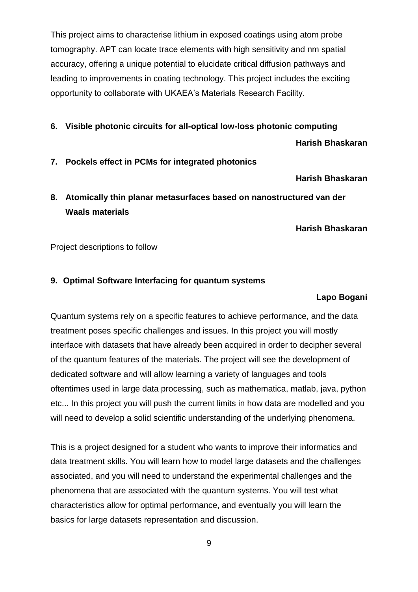This project aims to characterise lithium in exposed coatings using atom probe tomography. APT can locate trace elements with high sensitivity and nm spatial accuracy, offering a unique potential to elucidate critical diffusion pathways and leading to improvements in coating technology. This project includes the exciting opportunity to collaborate with UKAEA's Materials Research Facility.

#### <span id="page-8-1"></span><span id="page-8-0"></span>**6. Visible photonic circuits for all-optical low-loss photonic computing**

**Harish Bhaskaran**

<span id="page-8-3"></span><span id="page-8-2"></span>**7. Pockels effect in PCMs for integrated photonics**

**Harish Bhaskaran**

<span id="page-8-4"></span>**8. Atomically thin planar metasurfaces based on nanostructured van der Waals materials**

**Harish Bhaskaran**

<span id="page-8-5"></span>Project descriptions to follow

#### <span id="page-8-7"></span><span id="page-8-6"></span>**9. Optimal Software Interfacing for quantum systems**

#### **Lapo Bogani**

Quantum systems rely on a specific features to achieve performance, and the data treatment poses specific challenges and issues. In this project you will mostly interface with datasets that have already been acquired in order to decipher several of the quantum features of the materials. The project will see the development of dedicated software and will allow learning a variety of languages and tools oftentimes used in large data processing, such as mathematica, matlab, java, python etc... In this project you will push the current limits in how data are modelled and you will need to develop a solid scientific understanding of the underlying phenomena.

This is a project designed for a student who wants to improve their informatics and data treatment skills. You will learn how to model large datasets and the challenges associated, and you will need to understand the experimental challenges and the phenomena that are associated with the quantum systems. You will test what characteristics allow for optimal performance, and eventually you will learn the basics for large datasets representation and discussion.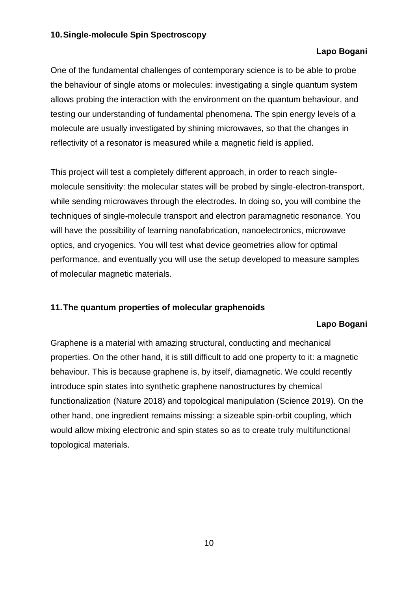#### <span id="page-9-1"></span><span id="page-9-0"></span>**10.Single-molecule Spin Spectroscopy**

#### **Lapo Bogani**

One of the fundamental challenges of contemporary science is to be able to probe the behaviour of single atoms or molecules: investigating a single quantum system allows probing the interaction with the environment on the quantum behaviour, and testing our understanding of fundamental phenomena. The spin energy levels of a molecule are usually investigated by shining microwaves, so that the changes in reflectivity of a resonator is measured while a magnetic field is applied.

This project will test a completely different approach, in order to reach singlemolecule sensitivity: the molecular states will be probed by single-electron-transport, while sending microwaves through the electrodes. In doing so, you will combine the techniques of single-molecule transport and electron paramagnetic resonance. You will have the possibility of learning nanofabrication, nanoelectronics, microwave optics, and cryogenics. You will test what device geometries allow for optimal performance, and eventually you will use the setup developed to measure samples of molecular magnetic materials.

#### <span id="page-9-3"></span><span id="page-9-2"></span>**11.The quantum properties of molecular graphenoids**

#### **Lapo Bogani**

Graphene is a material with amazing structural, conducting and mechanical properties. On the other hand, it is still difficult to add one property to it: a magnetic behaviour. This is because graphene is, by itself, diamagnetic. We could recently introduce spin states into synthetic graphene nanostructures by chemical functionalization (Nature 2018) and topological manipulation (Science 2019). On the other hand, one ingredient remains missing: a sizeable spin-orbit coupling, which would allow mixing electronic and spin states so as to create truly multifunctional topological materials.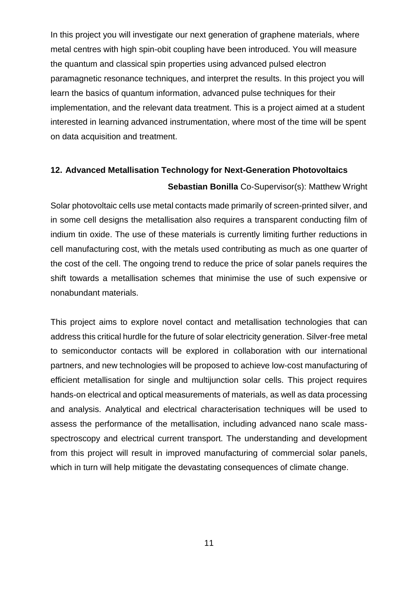In this project you will investigate our next generation of graphene materials, where metal centres with high spin-obit coupling have been introduced. You will measure the quantum and classical spin properties using advanced pulsed electron paramagnetic resonance techniques, and interpret the results. In this project you will learn the basics of quantum information, advanced pulse techniques for their implementation, and the relevant data treatment. This is a project aimed at a student interested in learning advanced instrumentation, where most of the time will be spent on data acquisition and treatment.

# <span id="page-10-1"></span><span id="page-10-0"></span>**12. Advanced Metallisation Technology for Next-Generation Photovoltaics**

#### **Sebastian Bonilla** Co-Supervisor(s): Matthew Wright

Solar photovoltaic cells use metal contacts made primarily of screen-printed silver, and in some cell designs the metallisation also requires a transparent conducting film of indium tin oxide. The use of these materials is currently limiting further reductions in cell manufacturing cost, with the metals used contributing as much as one quarter of the cost of the cell. The ongoing trend to reduce the price of solar panels requires the shift towards a metallisation schemes that minimise the use of such expensive or nonabundant materials.

This project aims to explore novel contact and metallisation technologies that can address this critical hurdle for the future of solar electricity generation. Silver-free metal to semiconductor contacts will be explored in collaboration with our international partners, and new technologies will be proposed to achieve low-cost manufacturing of efficient metallisation for single and multijunction solar cells. This project requires hands-on electrical and optical measurements of materials, as well as data processing and analysis. Analytical and electrical characterisation techniques will be used to assess the performance of the metallisation, including advanced nano scale massspectroscopy and electrical current transport. The understanding and development from this project will result in improved manufacturing of commercial solar panels, which in turn will help mitigate the devastating consequences of climate change.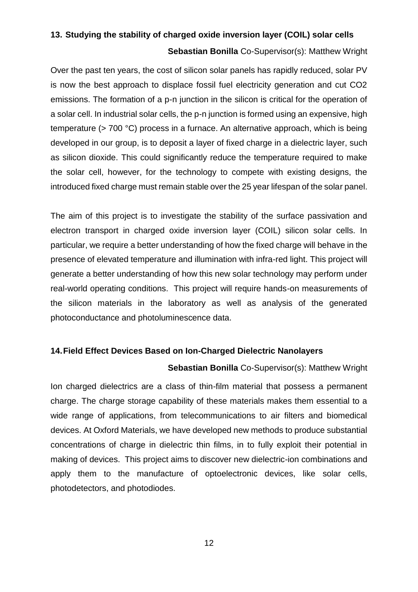# <span id="page-11-1"></span><span id="page-11-0"></span>**13. Studying the stability of charged oxide inversion layer (COIL) solar cells**

#### **Sebastian Bonilla** Co-Supervisor(s): Matthew Wright

Over the past ten years, the cost of silicon solar panels has rapidly reduced, solar PV is now the best approach to displace fossil fuel electricity generation and cut CO2 emissions. The formation of a p-n junction in the silicon is critical for the operation of a solar cell. In industrial solar cells, the p-n junction is formed using an expensive, high temperature (> 700 °C) process in a furnace. An alternative approach, which is being developed in our group, is to deposit a layer of fixed charge in a dielectric layer, such as silicon dioxide. This could significantly reduce the temperature required to make the solar cell, however, for the technology to compete with existing designs, the introduced fixed charge must remain stable over the 25 year lifespan of the solar panel.

The aim of this project is to investigate the stability of the surface passivation and electron transport in charged oxide inversion layer (COIL) silicon solar cells. In particular, we require a better understanding of how the fixed charge will behave in the presence of elevated temperature and illumination with infra-red light. This project will generate a better understanding of how this new solar technology may perform under real-world operating conditions. This project will require hands-on measurements of the silicon materials in the laboratory as well as analysis of the generated photoconductance and photoluminescence data.

#### <span id="page-11-3"></span><span id="page-11-2"></span>**14.Field Effect Devices Based on Ion-Charged Dielectric Nanolayers**

#### **Sebastian Bonilla** Co-Supervisor(s): Matthew Wright

Ion charged dielectrics are a class of thin-film material that possess a permanent charge. The charge storage capability of these materials makes them essential to a wide range of applications, from telecommunications to air filters and biomedical devices. At Oxford Materials, we have developed new methods to produce substantial concentrations of charge in dielectric thin films, in to fully exploit their potential in making of devices. This project aims to discover new dielectric-ion combinations and apply them to the manufacture of optoelectronic devices, like solar cells, photodetectors, and photodiodes.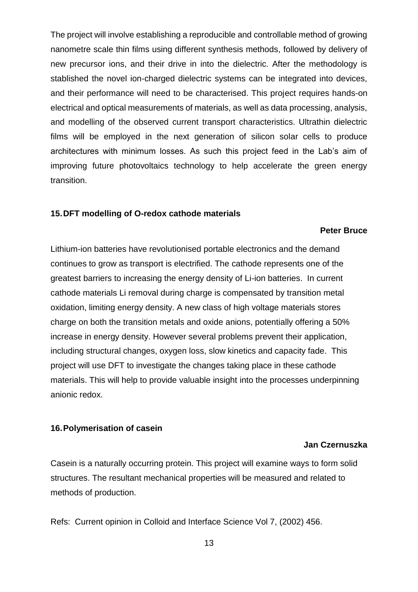The project will involve establishing a reproducible and controllable method of growing nanometre scale thin films using different synthesis methods, followed by delivery of new precursor ions, and their drive in into the dielectric. After the methodology is stablished the novel ion-charged dielectric systems can be integrated into devices, and their performance will need to be characterised. This project requires hands-on electrical and optical measurements of materials, as well as data processing, analysis, and modelling of the observed current transport characteristics. Ultrathin dielectric films will be employed in the next generation of silicon solar cells to produce architectures with minimum losses. As such this project feed in the Lab's aim of improving future photovoltaics technology to help accelerate the green energy transition.

#### <span id="page-12-1"></span><span id="page-12-0"></span>**15.DFT modelling of O-redox cathode materials**

#### **Peter Bruce**

Lithium-ion batteries have revolutionised portable electronics and the demand continues to grow as transport is electrified. The cathode represents one of the greatest barriers to increasing the energy density of Li-ion batteries. In current cathode materials Li removal during charge is compensated by transition metal oxidation, limiting energy density. A new class of high voltage materials stores charge on both the transition metals and oxide anions, potentially offering a 50% increase in energy density. However several problems prevent their application, including structural changes, oxygen loss, slow kinetics and capacity fade. This project will use DFT to investigate the changes taking place in these cathode materials. This will help to provide valuable insight into the processes underpinning anionic redox.

#### <span id="page-12-3"></span><span id="page-12-2"></span>**16.Polymerisation of casein**

#### **Jan Czernuszka**

Casein is a naturally occurring protein. This project will examine ways to form solid structures. The resultant mechanical properties will be measured and related to methods of production.

Refs: Current opinion in Colloid and Interface Science Vol 7, (2002) 456.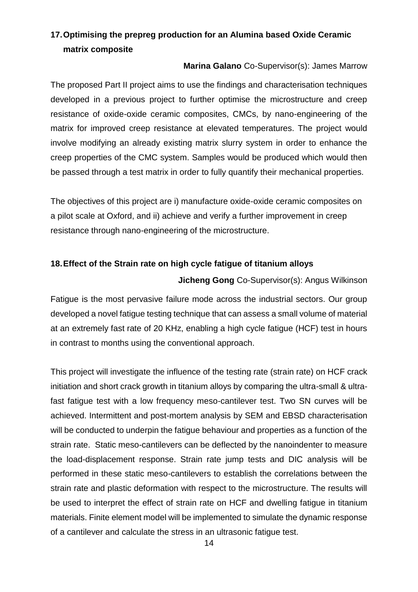# <span id="page-13-0"></span>**17.Optimising the prepreg production for an Alumina based Oxide Ceramic matrix composite**

#### **Marina Galano** Co-Supervisor(s): James Marrow

<span id="page-13-1"></span>The proposed Part II project aims to use the findings and characterisation techniques developed in a previous project to further optimise the microstructure and creep resistance of oxide-oxide ceramic composites, CMCs, by nano-engineering of the matrix for improved creep resistance at elevated temperatures. The project would involve modifying an already existing matrix slurry system in order to enhance the creep properties of the CMC system. Samples would be produced which would then be passed through a test matrix in order to fully quantify their mechanical properties.

The objectives of this project are i) manufacture oxide-oxide ceramic composites on a pilot scale at Oxford, and ii) achieve and verify a further improvement in creep resistance through nano-engineering of the microstructure.

#### <span id="page-13-3"></span><span id="page-13-2"></span>**18.Effect of the Strain rate on high cycle fatigue of titanium alloys**

#### **Jicheng Gong** Co-Supervisor(s): Angus Wilkinson

Fatigue is the most pervasive failure mode across the industrial sectors. Our group developed a novel fatigue testing technique that can assess a small volume of material at an extremely fast rate of 20 KHz, enabling a high cycle fatigue (HCF) test in hours in contrast to months using the conventional approach.

This project will investigate the influence of the testing rate (strain rate) on HCF crack initiation and short crack growth in titanium alloys by comparing the ultra-small & ultrafast fatigue test with a low frequency meso-cantilever test. Two SN curves will be achieved. Intermittent and post-mortem analysis by SEM and EBSD characterisation will be conducted to underpin the fatigue behaviour and properties as a function of the strain rate. Static meso-cantilevers can be deflected by the nanoindenter to measure the load-displacement response. Strain rate jump tests and DIC analysis will be performed in these static meso-cantilevers to establish the correlations between the strain rate and plastic deformation with respect to the microstructure. The results will be used to interpret the effect of strain rate on HCF and dwelling fatigue in titanium materials. Finite element model will be implemented to simulate the dynamic response of a cantilever and calculate the stress in an ultrasonic fatigue test.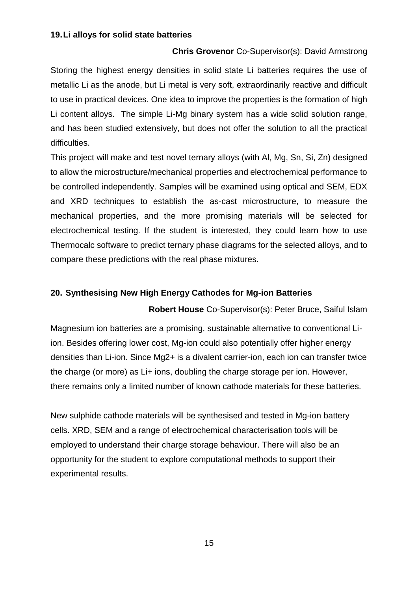#### <span id="page-14-1"></span><span id="page-14-0"></span>**19.Li alloys for solid state batteries**

#### **Chris Grovenor** Co-Supervisor(s): David Armstrong

Storing the highest energy densities in solid state Li batteries requires the use of metallic Li as the anode, but Li metal is very soft, extraordinarily reactive and difficult to use in practical devices. One idea to improve the properties is the formation of high Li content alloys. The simple Li-Mg binary system has a wide solid solution range, and has been studied extensively, but does not offer the solution to all the practical difficulties.

This project will make and test novel ternary alloys (with Al, Mg, Sn, Si, Zn) designed to allow the microstructure/mechanical properties and electrochemical performance to be controlled independently. Samples will be examined using optical and SEM, EDX and XRD techniques to establish the as-cast microstructure, to measure the mechanical properties, and the more promising materials will be selected for electrochemical testing. If the student is interested, they could learn how to use Thermocalc software to predict ternary phase diagrams for the selected alloys, and to compare these predictions with the real phase mixtures.

#### <span id="page-14-3"></span><span id="page-14-2"></span>**20. Synthesising New High Energy Cathodes for Mg-ion Batteries**

**Robert House** Co-Supervisor(s): Peter Bruce, Saiful Islam

Magnesium ion batteries are a promising, sustainable alternative to conventional Liion. Besides offering lower cost, Mg-ion could also potentially offer higher energy densities than Li-ion. Since Mg2+ is a divalent carrier-ion, each ion can transfer twice the charge (or more) as Li+ ions, doubling the charge storage per ion. However, there remains only a limited number of known cathode materials for these batteries.

New sulphide cathode materials will be synthesised and tested in Mg-ion battery cells. XRD, SEM and a range of electrochemical characterisation tools will be employed to understand their charge storage behaviour. There will also be an opportunity for the student to explore computational methods to support their experimental results.

15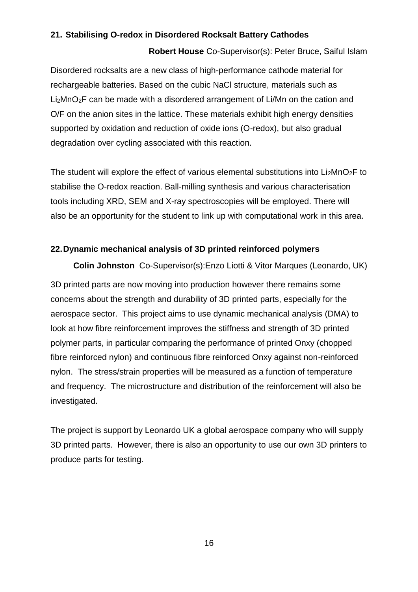#### <span id="page-15-1"></span><span id="page-15-0"></span>**21. Stabilising O-redox in Disordered Rocksalt Battery Cathodes**

#### **Robert House** Co-Supervisor(s): Peter Bruce, Saiful Islam

Disordered rocksalts are a new class of high-performance cathode material for rechargeable batteries. Based on the cubic NaCl structure, materials such as Li2MnO2F can be made with a disordered arrangement of Li/Mn on the cation and O/F on the anion sites in the lattice. These materials exhibit high energy densities supported by oxidation and reduction of oxide ions (O-redox), but also gradual degradation over cycling associated with this reaction.

The student will explore the effect of various elemental substitutions into  $Li<sub>2</sub>MnO<sub>2</sub>F$  to stabilise the O-redox reaction. Ball-milling synthesis and various characterisation tools including XRD, SEM and X-ray spectroscopies will be employed. There will also be an opportunity for the student to link up with computational work in this area.

#### <span id="page-15-2"></span>**22.Dynamic mechanical analysis of 3D printed reinforced polymers**

<span id="page-15-3"></span>**Colin Johnston** Co-Supervisor(s):Enzo Liotti & Vitor Marques (Leonardo, UK) 3D printed parts are now moving into production however there remains some concerns about the strength and durability of 3D printed parts, especially for the aerospace sector. This project aims to use dynamic mechanical analysis (DMA) to look at how fibre reinforcement improves the stiffness and strength of 3D printed polymer parts, in particular comparing the performance of printed Onxy (chopped fibre reinforced nylon) and continuous fibre reinforced Onxy against non-reinforced nylon. The stress/strain properties will be measured as a function of temperature and frequency. The microstructure and distribution of the reinforcement will also be investigated.

The project is support by Leonardo UK a global aerospace company who will supply 3D printed parts. However, there is also an opportunity to use our own 3D printers to produce parts for testing.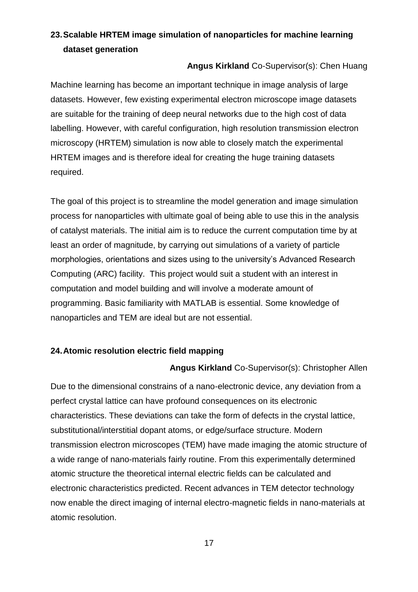# <span id="page-16-0"></span>**23.Scalable HRTEM image simulation of nanoparticles for machine learning dataset generation**

#### **Angus Kirkland** Co-Supervisor(s): Chen Huang

<span id="page-16-1"></span>Machine learning has become an important technique in image analysis of large datasets. However, few existing experimental electron microscope image datasets are suitable for the training of deep neural networks due to the high cost of data labelling. However, with careful configuration, high resolution transmission electron microscopy (HRTEM) simulation is now able to closely match the experimental HRTEM images and is therefore ideal for creating the huge training datasets required.

The goal of this project is to streamline the model generation and image simulation process for nanoparticles with ultimate goal of being able to use this in the analysis of catalyst materials. The initial aim is to reduce the current computation time by at least an order of magnitude, by carrying out simulations of a variety of particle morphologies, orientations and sizes using to the university's Advanced Research Computing (ARC) facility. This project would suit a student with an interest in computation and model building and will involve a moderate amount of programming. Basic familiarity with MATLAB is essential. Some knowledge of nanoparticles and TEM are ideal but are not essential.

#### <span id="page-16-3"></span><span id="page-16-2"></span>**24.Atomic resolution electric field mapping**

#### **Angus Kirkland** Co-Supervisor(s): Christopher Allen

Due to the dimensional constrains of a nano-electronic device, any deviation from a perfect crystal lattice can have profound consequences on its electronic characteristics. These deviations can take the form of defects in the crystal lattice, substitutional/interstitial dopant atoms, or edge/surface structure. Modern transmission electron microscopes (TEM) have made imaging the atomic structure of a wide range of nano-materials fairly routine. From this experimentally determined atomic structure the theoretical internal electric fields can be calculated and electronic characteristics predicted. Recent advances in TEM detector technology now enable the direct imaging of internal electro-magnetic fields in nano-materials at atomic resolution.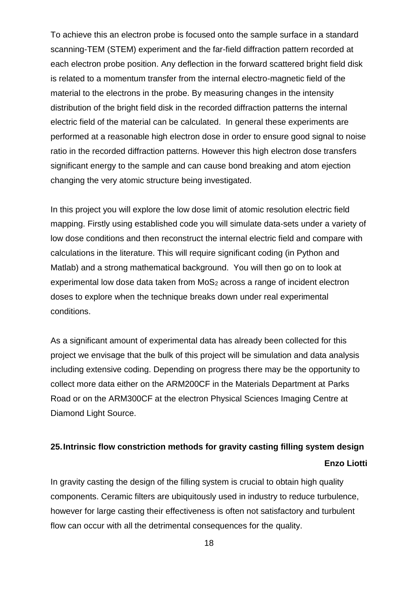To achieve this an electron probe is focused onto the sample surface in a standard scanning-TEM (STEM) experiment and the far-field diffraction pattern recorded at each electron probe position. Any deflection in the forward scattered bright field disk is related to a momentum transfer from the internal electro-magnetic field of the material to the electrons in the probe. By measuring changes in the intensity distribution of the bright field disk in the recorded diffraction patterns the internal electric field of the material can be calculated. In general these experiments are performed at a reasonable high electron dose in order to ensure good signal to noise ratio in the recorded diffraction patterns. However this high electron dose transfers significant energy to the sample and can cause bond breaking and atom ejection changing the very atomic structure being investigated.

In this project you will explore the low dose limit of atomic resolution electric field mapping. Firstly using established code you will simulate data-sets under a variety of low dose conditions and then reconstruct the internal electric field and compare with calculations in the literature. This will require significant coding (in Python and Matlab) and a strong mathematical background. You will then go on to look at experimental low dose data taken from MoS<sub>2</sub> across a range of incident electron doses to explore when the technique breaks down under real experimental conditions.

As a significant amount of experimental data has already been collected for this project we envisage that the bulk of this project will be simulation and data analysis including extensive coding. Depending on progress there may be the opportunity to collect more data either on the ARM200CF in the Materials Department at Parks Road or on the ARM300CF at the electron Physical Sciences Imaging Centre at Diamond Light Source.

# <span id="page-17-1"></span><span id="page-17-0"></span>**25.Intrinsic flow constriction methods for gravity casting filling system design Enzo Liotti**

In gravity casting the design of the filling system is crucial to obtain high quality components. Ceramic filters are ubiquitously used in industry to reduce turbulence, however for large casting their effectiveness is often not satisfactory and turbulent flow can occur with all the detrimental consequences for the quality.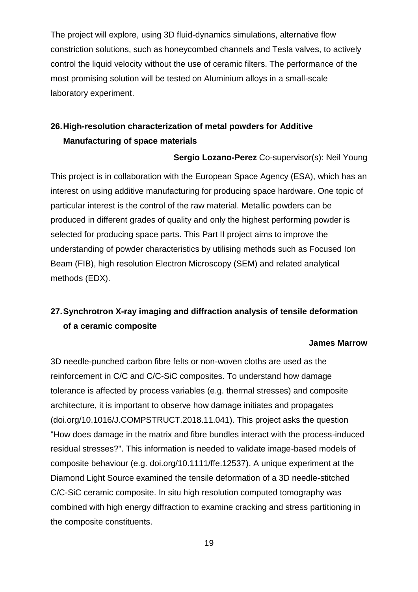The project will explore, using 3D fluid-dynamics simulations, alternative flow constriction solutions, such as honeycombed channels and Tesla valves, to actively control the liquid velocity without the use of ceramic filters. The performance of the most promising solution will be tested on Aluminium alloys in a small-scale laboratory experiment.

# <span id="page-18-0"></span>**26.High-resolution characterization of metal powders for Additive Manufacturing of space materials**

**Sergio Lozano-Perez** Co-supervisor(s): Neil Young

<span id="page-18-1"></span>This project is in collaboration with the European Space Agency (ESA), which has an interest on using additive manufacturing for producing space hardware. One topic of particular interest is the control of the raw material. Metallic powders can be produced in different grades of quality and only the highest performing powder is selected for producing space parts. This Part II project aims to improve the understanding of powder characteristics by utilising methods such as Focused Ion Beam (FIB), high resolution Electron Microscopy (SEM) and related analytical methods (EDX).

# <span id="page-18-2"></span>**27.Synchrotron X-ray imaging and diffraction analysis of tensile deformation of a ceramic composite**

#### **James Marrow**

<span id="page-18-3"></span>3D needle-punched carbon fibre felts or non-woven cloths are used as the reinforcement in C/C and C/C-SiC composites. To understand how damage tolerance is affected by process variables (e.g. thermal stresses) and composite architecture, it is important to observe how damage initiates and propagates (doi.org/10.1016/J.COMPSTRUCT.2018.11.041). This project asks the question "How does damage in the matrix and fibre bundles interact with the process-induced residual stresses?". This information is needed to validate image-based models of composite behaviour (e.g. doi.org/10.1111/ffe.12537). A unique experiment at the Diamond Light Source examined the tensile deformation of a 3D needle-stitched C/C-SiC ceramic composite. In situ high resolution computed tomography was combined with high energy diffraction to examine cracking and stress partitioning in the composite constituents.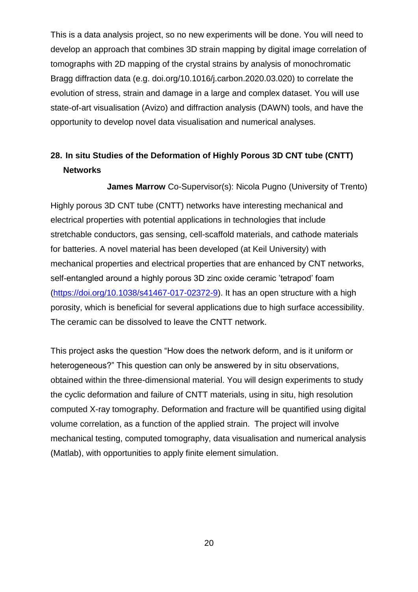This is a data analysis project, so no new experiments will be done. You will need to develop an approach that combines 3D strain mapping by digital image correlation of tomographs with 2D mapping of the crystal strains by analysis of monochromatic Bragg diffraction data (e.g. doi.org/10.1016/j.carbon.2020.03.020) to correlate the evolution of stress, strain and damage in a large and complex dataset. You will use state-of-art visualisation (Avizo) and diffraction analysis (DAWN) tools, and have the opportunity to develop novel data visualisation and numerical analyses.

# <span id="page-19-0"></span>**28. In situ Studies of the Deformation of Highly Porous 3D CNT tube (CNTT) Networks**

**James Marrow** Co-Supervisor(s): Nicola Pugno (University of Trento)

<span id="page-19-1"></span>Highly porous 3D CNT tube (CNTT) networks have interesting mechanical and electrical properties with potential applications in technologies that include stretchable conductors, gas sensing, cell-scaffold materials, and cathode materials for batteries. A novel material has been developed (at Keil University) with mechanical properties and electrical properties that are enhanced by CNT networks, self-entangled around a highly porous 3D zinc oxide ceramic 'tetrapod' foam [\(https://doi.org/10.1038/s41467-017-02372-9\)](https://doi.org/10.1038/s41467-017-02372-9). It has an open structure with a high porosity, which is beneficial for several applications due to high surface accessibility. The ceramic can be dissolved to leave the CNTT network.

This project asks the question "How does the network deform, and is it uniform or heterogeneous?" This question can only be answered by in situ observations, obtained within the three-dimensional material. You will design experiments to study the cyclic deformation and failure of CNTT materials, using in situ, high resolution computed X-ray tomography. Deformation and fracture will be quantified using digital volume correlation, as a function of the applied strain. The project will involve mechanical testing, computed tomography, data visualisation and numerical analysis (Matlab), with opportunities to apply finite element simulation.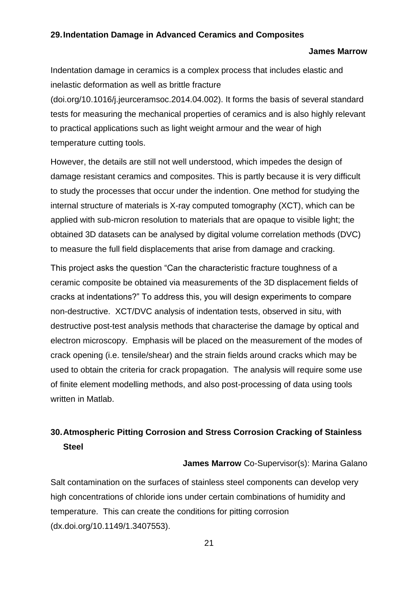#### <span id="page-20-1"></span><span id="page-20-0"></span>**29.Indentation Damage in Advanced Ceramics and Composites**

#### **James Marrow**

Indentation damage in ceramics is a complex process that includes elastic and inelastic deformation as well as brittle fracture

(doi.org/10.1016/j.jeurceramsoc.2014.04.002). It forms the basis of several standard tests for measuring the mechanical properties of ceramics and is also highly relevant to practical applications such as light weight armour and the wear of high temperature cutting tools.

However, the details are still not well understood, which impedes the design of damage resistant ceramics and composites. This is partly because it is very difficult to study the processes that occur under the indention. One method for studying the internal structure of materials is X-ray computed tomography (XCT), which can be applied with sub-micron resolution to materials that are opaque to visible light; the obtained 3D datasets can be analysed by digital volume correlation methods (DVC) to measure the full field displacements that arise from damage and cracking.

This project asks the question "Can the characteristic fracture toughness of a ceramic composite be obtained via measurements of the 3D displacement fields of cracks at indentations?" To address this, you will design experiments to compare non-destructive. XCT/DVC analysis of indentation tests, observed in situ, with destructive post-test analysis methods that characterise the damage by optical and electron microscopy. Emphasis will be placed on the measurement of the modes of crack opening (i.e. tensile/shear) and the strain fields around cracks which may be used to obtain the criteria for crack propagation. The analysis will require some use of finite element modelling methods, and also post-processing of data using tools written in Matlab.

## <span id="page-20-2"></span>**30.Atmospheric Pitting Corrosion and Stress Corrosion Cracking of Stainless Steel**

**James Marrow** Co-Supervisor(s): Marina Galano

<span id="page-20-3"></span>Salt contamination on the surfaces of stainless steel components can develop very high concentrations of chloride ions under certain combinations of humidity and temperature. This can create the conditions for pitting corrosion (dx.doi.org/10.1149/1.3407553).

21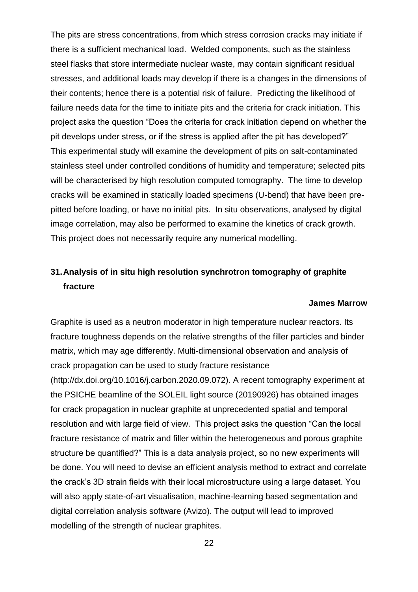The pits are stress concentrations, from which stress corrosion cracks may initiate if there is a sufficient mechanical load. Welded components, such as the stainless steel flasks that store intermediate nuclear waste, may contain significant residual stresses, and additional loads may develop if there is a changes in the dimensions of their contents; hence there is a potential risk of failure. Predicting the likelihood of failure needs data for the time to initiate pits and the criteria for crack initiation. This project asks the question "Does the criteria for crack initiation depend on whether the pit develops under stress, or if the stress is applied after the pit has developed?" This experimental study will examine the development of pits on salt-contaminated stainless steel under controlled conditions of humidity and temperature; selected pits will be characterised by high resolution computed tomography. The time to develop cracks will be examined in statically loaded specimens (U-bend) that have been prepitted before loading, or have no initial pits. In situ observations, analysed by digital image correlation, may also be performed to examine the kinetics of crack growth. This project does not necessarily require any numerical modelling.

# <span id="page-21-0"></span>**31.Analysis of in situ high resolution synchrotron tomography of graphite fracture**

#### **James Marrow**

<span id="page-21-1"></span>Graphite is used as a neutron moderator in high temperature nuclear reactors. Its fracture toughness depends on the relative strengths of the filler particles and binder matrix, which may age differently. Multi-dimensional observation and analysis of crack propagation can be used to study fracture resistance (http://dx.doi.org/10.1016/j.carbon.2020.09.072). A recent tomography experiment at the PSICHE beamline of the SOLEIL light source (20190926) has obtained images for crack propagation in nuclear graphite at unprecedented spatial and temporal resolution and with large field of view. This project asks the question "Can the local fracture resistance of matrix and filler within the heterogeneous and porous graphite structure be quantified?" This is a data analysis project, so no new experiments will be done. You will need to devise an efficient analysis method to extract and correlate the crack's 3D strain fields with their local microstructure using a large dataset. You will also apply state-of-art visualisation, machine-learning based segmentation and digital correlation analysis software (Avizo). The output will lead to improved modelling of the strength of nuclear graphites.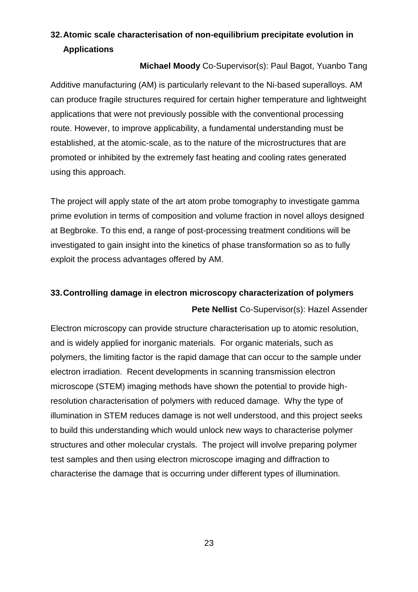# <span id="page-22-0"></span>**32.Atomic scale characterisation of non-equilibrium precipitate evolution in Applications**

#### **Michael Moody** Co-Supervisor(s): Paul Bagot, Yuanbo Tang

<span id="page-22-1"></span>Additive manufacturing (AM) is particularly relevant to the Ni-based superalloys. AM can produce fragile structures required for certain higher temperature and lightweight applications that were not previously possible with the conventional processing route. However, to improve applicability, a fundamental understanding must be established, at the atomic-scale, as to the nature of the microstructures that are promoted or inhibited by the extremely fast heating and cooling rates generated using this approach.

The project will apply state of the art atom probe tomography to investigate gamma prime evolution in terms of composition and volume fraction in novel alloys designed at Begbroke. To this end, a range of post-processing treatment conditions will be investigated to gain insight into the kinetics of phase transformation so as to fully exploit the process advantages offered by AM.

# <span id="page-22-3"></span><span id="page-22-2"></span>**33.Controlling damage in electron microscopy characterization of polymers Pete Nellist** Co-Supervisor(s): Hazel Assender

Electron microscopy can provide structure characterisation up to atomic resolution, and is widely applied for inorganic materials. For organic materials, such as polymers, the limiting factor is the rapid damage that can occur to the sample under electron irradiation. Recent developments in scanning transmission electron microscope (STEM) imaging methods have shown the potential to provide highresolution characterisation of polymers with reduced damage. Why the type of illumination in STEM reduces damage is not well understood, and this project seeks to build this understanding which would unlock new ways to characterise polymer structures and other molecular crystals. The project will involve preparing polymer test samples and then using electron microscope imaging and diffraction to characterise the damage that is occurring under different types of illumination.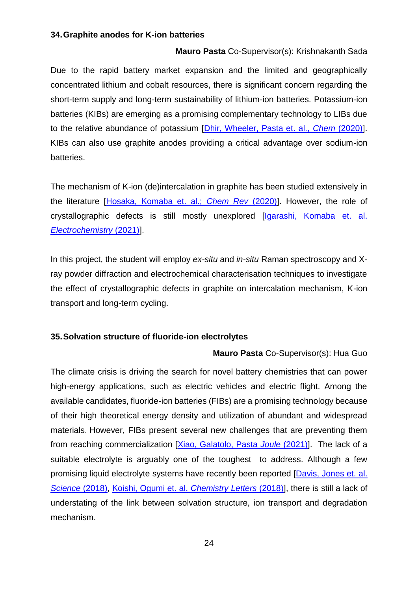#### <span id="page-23-1"></span><span id="page-23-0"></span>**34.Graphite anodes for K-ion batteries**

#### **Mauro Pasta** Co-Supervisor(s): Krishnakanth Sada

Due to the rapid battery market expansion and the limited and geographically concentrated lithium and cobalt resources, there is significant concern regarding the short-term supply and long-term sustainability of lithium-ion batteries. Potassium-ion batteries (KIBs) are emerging as a promising complementary technology to LIBs due to the relative abundance of potassium [\[Dhir, Wheeler, Pasta et. al.,](https://www.sciencedirect.com/science/article/pii/S2451929420304228) *[Chem](https://www.sciencedirect.com/science/article/pii/S2451929420304228)* [\(2020\)\]](https://www.sciencedirect.com/science/article/pii/S2451929420304228). KIBs can also use graphite anodes providing a critical advantage over sodium-ion batteries.

The mechanism of K-ion (de)intercalation in graphite has been studied extensively in the literature [\[Hosaka, Komaba](https://pubs.acs.org/doi/abs/10.1021/acs.chemrev.9b00463) [et. al.;](https://pubs.acs.org/doi/abs/10.1021/acs.chemrev.9b00463) *[Chem Rev](https://pubs.acs.org/doi/abs/10.1021/acs.chemrev.9b00463)* [\(2020\)\]](https://pubs.acs.org/doi/abs/10.1021/acs.chemrev.9b00463). However, the role of crystallographic defects is still mostly unexplored *[Igarashi, Komaba et. al. [Electrochemistry](https://www.jstage.jst.go.jp/article/electrochemistry/89/5/89_21-00062/_pdf/-char/en)* (2021)].

In this project, the student will employ *ex-situ* and *in-situ* Raman spectroscopy and Xray powder diffraction and electrochemical characterisation techniques to investigate the effect of crystallographic defects in graphite on intercalation mechanism, K-ion transport and long-term cycling.

#### <span id="page-23-3"></span><span id="page-23-2"></span>**35.Solvation structure of fluoride-ion electrolytes**

#### **Mauro Pasta** Co-Supervisor(s): Hua Guo

The climate crisis is driving the search for novel battery chemistries that can power high-energy applications, such as electric vehicles and electric flight. Among the available candidates, fluoride-ion batteries (FIBs) are a promising technology because of their high theoretical energy density and utilization of abundant and widespread materials. However, FIBs present several new challenges that are preventing them from reaching commercialization [\[Xiao, Galatolo, Pasta](https://www.sciencedirect.com/science/article/pii/S254243512100444X) *Joule* (2021)]. The lack of a suitable electrolyte is arguably one of the toughest to address. Although a few promising liquid electrolyte systems have recently been reported [\[Davis, Jones et. al.](https://www.science.org/doi/full/10.1126/science.aat7070)  *[Science](https://www.science.org/doi/full/10.1126/science.aat7070)* (2018), [Koishi, Ogumi et. al.](https://www.journal.csj.jp/doi/full/10.1246/cl.180573?casa_token=QczuuIuzK70AAAAA%3AoDUSnIteNU8hExJotniJBHjlGJ_MuXih4AoqEr7yX3qojfKypTKteY-xhUiBrJeJkMV2wsrviA) *Chemistry Letters* (2018)], there is still a lack of understating of the link between solvation structure, ion transport and degradation mechanism.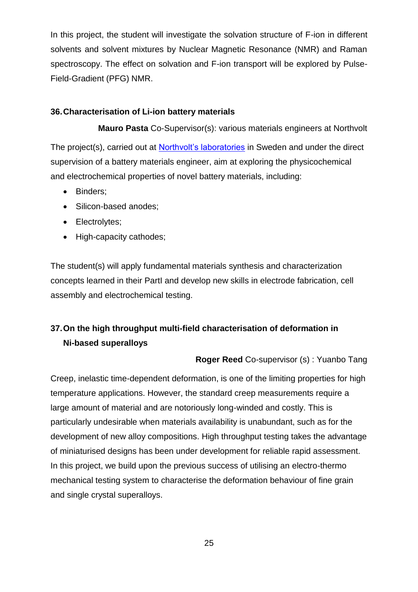In this project, the student will investigate the solvation structure of F-ion in different solvents and solvent mixtures by Nuclear Magnetic Resonance (NMR) and Raman spectroscopy. The effect on solvation and F-ion transport will be explored by Pulse-Field-Gradient (PFG) NMR.

#### <span id="page-24-1"></span><span id="page-24-0"></span>**36.Characterisation of Li-ion battery materials**

**Mauro Pasta** Co-Supervisor(s): various materials engineers at Northvolt

The project(s), carried out at **Northvolt's laboratories** in Sweden and under the direct supervision of a battery materials engineer, aim at exploring the physicochemical and electrochemical properties of novel battery materials, including:

- Binders;
- Silicon-based anodes;
- Electrolytes;
- High-capacity cathodes;

The student(s) will apply fundamental materials synthesis and characterization concepts learned in their PartI and develop new skills in electrode fabrication, cell assembly and electrochemical testing.

# <span id="page-24-2"></span>**37.On the high throughput multi-field characterisation of deformation in Ni-based superalloys**

**Roger Reed** Co-supervisor (s) : Yuanbo Tang

<span id="page-24-3"></span>Creep, inelastic time-dependent deformation, is one of the limiting properties for high temperature applications. However, the standard creep measurements require a large amount of material and are notoriously long-winded and costly. This is particularly undesirable when materials availability is unabundant, such as for the development of new alloy compositions. High throughput testing takes the advantage of miniaturised designs has been under development for reliable rapid assessment. In this project, we build upon the previous success of utilising an electro-thermo mechanical testing system to characterise the deformation behaviour of fine grain and single crystal superalloys.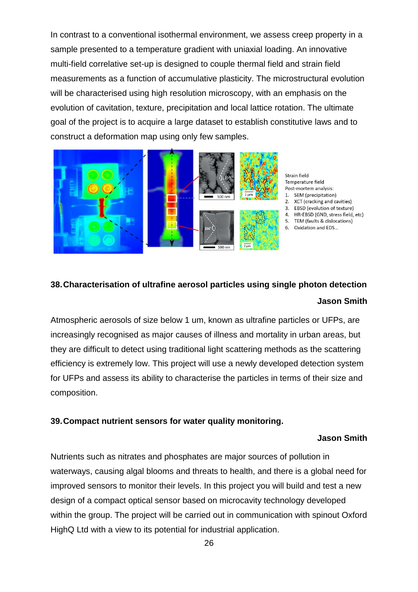In contrast to a conventional isothermal environment, we assess creep property in a sample presented to a temperature gradient with uniaxial loading. An innovative multi-field correlative set-up is designed to couple thermal field and strain field measurements as a function of accumulative plasticity. The microstructural evolution will be characterised using high resolution microscopy, with an emphasis on the evolution of cavitation, texture, precipitation and local lattice rotation. The ultimate goal of the project is to acquire a large dataset to establish constitutive laws and to construct a deformation map using only few samples.



Strain field Temperature field Post-mortem analysis: 1. SEM (precipitation) 2. XCT (cracking and cavities) 3. EBSD (evolution of texture) 4. HR-EBSD (GND, stress field, etc) 5. TEM (faults & dislocations) 6. Oxidation and EDS...

# <span id="page-25-1"></span><span id="page-25-0"></span>**38.Characterisation of ultrafine aerosol particles using single photon detection Jason Smith**

Atmospheric aerosols of size below 1 um, known as ultrafine particles or UFPs, are increasingly recognised as major causes of illness and mortality in urban areas, but they are difficult to detect using traditional light scattering methods as the scattering efficiency is extremely low. This project will use a newly developed detection system for UFPs and assess its ability to characterise the particles in terms of their size and composition.

#### <span id="page-25-3"></span><span id="page-25-2"></span>**39.Compact nutrient sensors for water quality monitoring.**

#### **Jason Smith**

Nutrients such as nitrates and phosphates are major sources of pollution in waterways, causing algal blooms and threats to health, and there is a global need for improved sensors to monitor their levels. In this project you will build and test a new design of a compact optical sensor based on microcavity technology developed within the group. The project will be carried out in communication with spinout Oxford HighQ Ltd with a view to its potential for industrial application.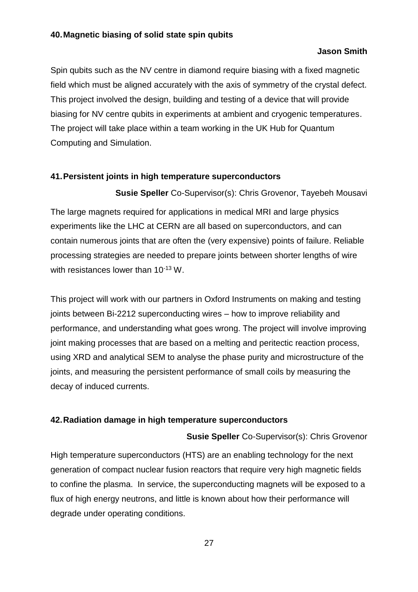#### <span id="page-26-1"></span><span id="page-26-0"></span>**40.Magnetic biasing of solid state spin qubits**

#### **Jason Smith**

Spin qubits such as the NV centre in diamond require biasing with a fixed magnetic field which must be aligned accurately with the axis of symmetry of the crystal defect. This project involved the design, building and testing of a device that will provide biasing for NV centre qubits in experiments at ambient and cryogenic temperatures. The project will take place within a team working in the UK Hub for Quantum Computing and Simulation.

#### <span id="page-26-3"></span><span id="page-26-2"></span>**41.Persistent joints in high temperature superconductors**

#### **Susie Speller** Co-Supervisor(s): Chris Grovenor, Tayebeh Mousavi

The large magnets required for applications in medical MRI and large physics experiments like the LHC at CERN are all based on superconductors, and can contain numerous joints that are often the (very expensive) points of failure. Reliable processing strategies are needed to prepare joints between shorter lengths of wire with resistances lower than 10<sup>-13</sup> W.

This project will work with our partners in Oxford Instruments on making and testing joints between Bi-2212 superconducting wires – how to improve reliability and performance, and understanding what goes wrong. The project will involve improving joint making processes that are based on a melting and peritectic reaction process, using XRD and analytical SEM to analyse the phase purity and microstructure of the joints, and measuring the persistent performance of small coils by measuring the decay of induced currents.

#### <span id="page-26-5"></span><span id="page-26-4"></span>**42.Radiation damage in high temperature superconductors**

#### **Susie Speller** Co-Supervisor(s): Chris Grovenor

High temperature superconductors (HTS) are an enabling technology for the next generation of compact nuclear fusion reactors that require very high magnetic fields to confine the plasma. In service, the superconducting magnets will be exposed to a flux of high energy neutrons, and little is known about how their performance will degrade under operating conditions.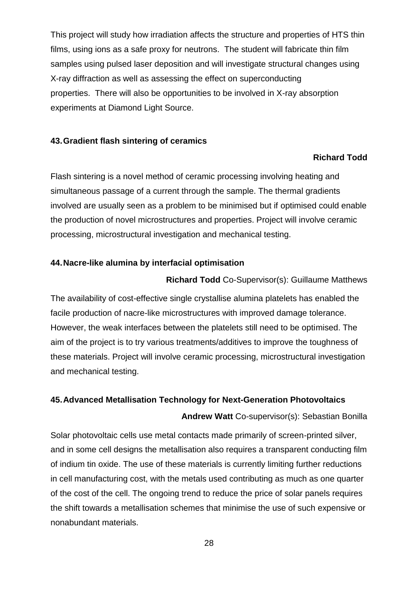This project will study how irradiation affects the structure and properties of HTS thin films, using ions as a safe proxy for neutrons. The student will fabricate thin film samples using pulsed laser deposition and will investigate structural changes using X-ray diffraction as well as assessing the effect on superconducting properties. There will also be opportunities to be involved in X-ray absorption experiments at Diamond Light Source.

#### <span id="page-27-1"></span><span id="page-27-0"></span>**43.Gradient flash sintering of ceramics**

#### **Richard Todd**

Flash sintering is a novel method of ceramic processing involving heating and simultaneous passage of a current through the sample. The thermal gradients involved are usually seen as a problem to be minimised but if optimised could enable the production of novel microstructures and properties. Project will involve ceramic processing, microstructural investigation and mechanical testing.

#### <span id="page-27-3"></span><span id="page-27-2"></span>**44.Nacre-like alumina by interfacial optimisation**

#### **Richard Todd** Co-Supervisor(s): Guillaume Matthews

The availability of cost-effective single crystallise alumina platelets has enabled the facile production of nacre-like microstructures with improved damage tolerance. However, the weak interfaces between the platelets still need to be optimised. The aim of the project is to try various treatments/additives to improve the toughness of these materials. Project will involve ceramic processing, microstructural investigation and mechanical testing.

#### <span id="page-27-5"></span><span id="page-27-4"></span>**45.Advanced Metallisation Technology for Next-Generation Photovoltaics**

**Andrew Watt** Co-supervisor(s): Sebastian Bonilla

Solar photovoltaic cells use metal contacts made primarily of screen-printed silver, and in some cell designs the metallisation also requires a transparent conducting film of indium tin oxide. The use of these materials is currently limiting further reductions in cell manufacturing cost, with the metals used contributing as much as one quarter of the cost of the cell. The ongoing trend to reduce the price of solar panels requires the shift towards a metallisation schemes that minimise the use of such expensive or nonabundant materials.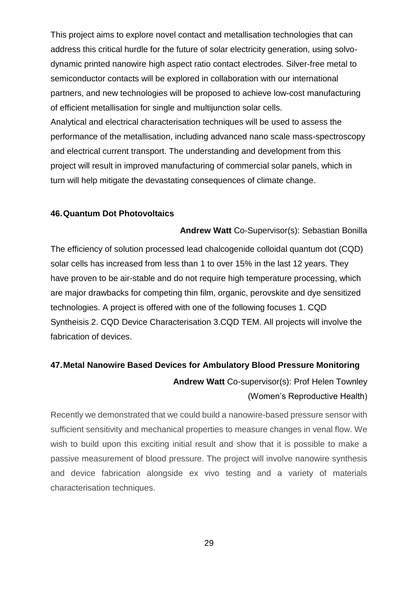This project aims to explore novel contact and metallisation technologies that can address this critical hurdle for the future of solar electricity generation, using solvodynamic printed nanowire high aspect ratio contact electrodes. Silver-free metal to semiconductor contacts will be explored in collaboration with our international partners, and new technologies will be proposed to achieve low-cost manufacturing of efficient metallisation for single and multijunction solar cells. Analytical and electrical characterisation techniques will be used to assess the performance of the metallisation, including advanced nano scale mass-spectroscopy and electrical current transport. The understanding and development from this project will result in improved manufacturing of commercial solar panels, which in turn will help mitigate the devastating consequences of climate change.

#### <span id="page-28-1"></span><span id="page-28-0"></span>**46.Quantum Dot Photovoltaics**

**Andrew Watt** Co-Supervisor(s): Sebastian Bonilla

The efficiency of solution processed lead chalcogenide colloidal quantum dot (CQD) solar cells has increased from less than 1 to over 15% in the last 12 years. They have proven to be air-stable and do not require high temperature processing, which are major drawbacks for competing thin film, organic, perovskite and dye sensitized technologies. A project is offered with one of the following focuses 1. CQD Syntheisis 2. CQD Device Characterisation 3.CQD TEM. All projects will involve the fabrication of devices.

# <span id="page-28-3"></span><span id="page-28-2"></span>**47.Metal Nanowire Based Devices for Ambulatory Blood Pressure Monitoring Andrew Watt** Co-supervisor(s): Prof Helen Townley

#### (Women's Reproductive Health)

Recently we demonstrated that we could build a nanowire-based pressure sensor with sufficient sensitivity and mechanical properties to measure changes in venal flow. We wish to build upon this exciting initial result and show that it is possible to make a passive measurement of blood pressure. The project will involve nanowire synthesis and device fabrication alongside ex vivo testing and a variety of materials characterisation techniques.

29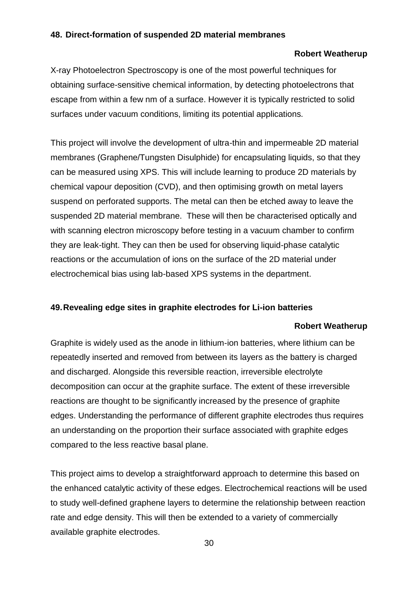#### <span id="page-29-1"></span><span id="page-29-0"></span>**48. Direct-formation of suspended 2D material membranes**

#### **Robert Weatherup**

X-ray Photoelectron Spectroscopy is one of the most powerful techniques for obtaining surface-sensitive chemical information, by detecting photoelectrons that escape from within a few nm of a surface. However it is typically restricted to solid surfaces under vacuum conditions, limiting its potential applications.

This project will involve the development of ultra-thin and impermeable 2D material membranes (Graphene/Tungsten Disulphide) for encapsulating liquids, so that they can be measured using XPS. This will include learning to produce 2D materials by chemical vapour deposition (CVD), and then optimising growth on metal layers suspend on perforated supports. The metal can then be etched away to leave the suspended 2D material membrane. These will then be characterised optically and with scanning electron microscopy before testing in a vacuum chamber to confirm they are leak-tight. They can then be used for observing liquid-phase catalytic reactions or the accumulation of ions on the surface of the 2D material under electrochemical bias using lab-based XPS systems in the department.

#### <span id="page-29-3"></span><span id="page-29-2"></span>**49.Revealing edge sites in graphite electrodes for Li-ion batteries**

#### **Robert Weatherup**

Graphite is widely used as the anode in lithium-ion batteries, where lithium can be repeatedly inserted and removed from between its layers as the battery is charged and discharged. Alongside this reversible reaction, irreversible electrolyte decomposition can occur at the graphite surface. The extent of these irreversible reactions are thought to be significantly increased by the presence of graphite edges. Understanding the performance of different graphite electrodes thus requires an understanding on the proportion their surface associated with graphite edges compared to the less reactive basal plane.

This project aims to develop a straightforward approach to determine this based on the enhanced catalytic activity of these edges. Electrochemical reactions will be used to study well-defined graphene layers to determine the relationship between reaction rate and edge density. This will then be extended to a variety of commercially available graphite electrodes.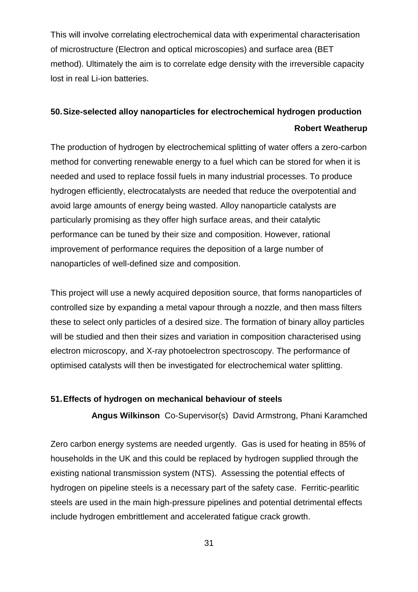This will involve correlating electrochemical data with experimental characterisation of microstructure (Electron and optical microscopies) and surface area (BET method). Ultimately the aim is to correlate edge density with the irreversible capacity lost in real Li-ion batteries.

# <span id="page-30-1"></span><span id="page-30-0"></span>**50.Size-selected alloy nanoparticles for electrochemical hydrogen production Robert Weatherup**

The production of hydrogen by electrochemical splitting of water offers a zero-carbon method for converting renewable energy to a fuel which can be stored for when it is needed and used to replace fossil fuels in many industrial processes. To produce hydrogen efficiently, electrocatalysts are needed that reduce the overpotential and avoid large amounts of energy being wasted. Alloy nanoparticle catalysts are particularly promising as they offer high surface areas, and their catalytic performance can be tuned by their size and composition. However, rational improvement of performance requires the deposition of a large number of nanoparticles of well-defined size and composition.

This project will use a newly acquired deposition source, that forms nanoparticles of controlled size by expanding a metal vapour through a nozzle, and then mass filters these to select only particles of a desired size. The formation of binary alloy particles will be studied and then their sizes and variation in composition characterised using electron microscopy, and X-ray photoelectron spectroscopy. The performance of optimised catalysts will then be investigated for electrochemical water splitting.

#### <span id="page-30-3"></span><span id="page-30-2"></span>**51.Effects of hydrogen on mechanical behaviour of steels**

**Angus Wilkinson** Co-Supervisor(s) David Armstrong, Phani Karamched

Zero carbon energy systems are needed urgently. Gas is used for heating in 85% of households in the UK and this could be replaced by hydrogen supplied through the existing national transmission system (NTS). Assessing the potential effects of hydrogen on pipeline steels is a necessary part of the safety case. Ferritic-pearlitic steels are used in the main high-pressure pipelines and potential detrimental effects include hydrogen embrittlement and accelerated fatigue crack growth.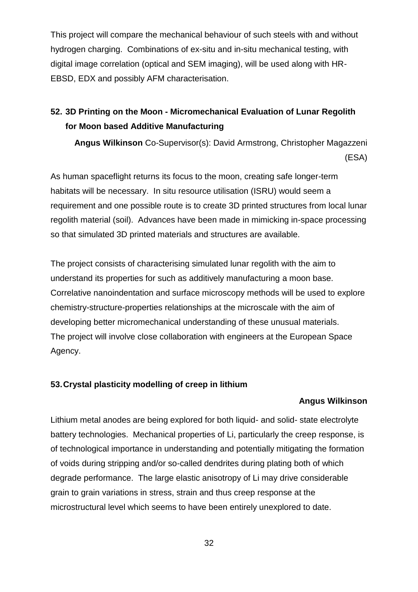This project will compare the mechanical behaviour of such steels with and without hydrogen charging. Combinations of ex-situ and in-situ mechanical testing, with digital image correlation (optical and SEM imaging), will be used along with HR-EBSD, EDX and possibly AFM characterisation.

# <span id="page-31-0"></span>**52. 3D Printing on the Moon - Micromechanical Evaluation of Lunar Regolith for Moon based Additive Manufacturing**

<span id="page-31-1"></span>**Angus Wilkinson** Co-Supervisor(s): David Armstrong, Christopher Magazzeni (ESA)

As human spaceflight returns its focus to the moon, creating safe longer-term habitats will be necessary. In situ resource utilisation (ISRU) would seem a requirement and one possible route is to create 3D printed structures from local lunar regolith material (soil). Advances have been made in mimicking in-space processing so that simulated 3D printed materials and structures are available.

The project consists of characterising simulated lunar regolith with the aim to understand its properties for such as additively manufacturing a moon base. Correlative nanoindentation and surface microscopy methods will be used to explore chemistry-structure-properties relationships at the microscale with the aim of developing better micromechanical understanding of these unusual materials. The project will involve close collaboration with engineers at the European Space Agency.

#### <span id="page-31-3"></span><span id="page-31-2"></span>**53.Crystal plasticity modelling of creep in lithium**

#### **Angus Wilkinson**

Lithium metal anodes are being explored for both liquid- and solid- state electrolyte battery technologies. Mechanical properties of Li, particularly the creep response, is of technological importance in understanding and potentially mitigating the formation of voids during stripping and/or so-called dendrites during plating both of which degrade performance. The large elastic anisotropy of Li may drive considerable grain to grain variations in stress, strain and thus creep response at the microstructural level which seems to have been entirely unexplored to date.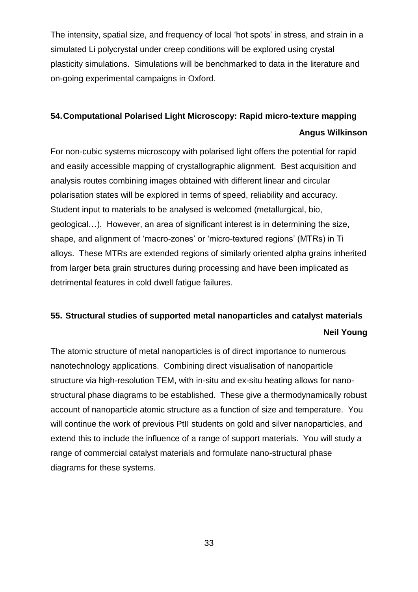The intensity, spatial size, and frequency of local 'hot spots' in stress, and strain in a simulated Li polycrystal under creep conditions will be explored using crystal plasticity simulations. Simulations will be benchmarked to data in the literature and on-going experimental campaigns in Oxford.

# <span id="page-32-1"></span><span id="page-32-0"></span>**54.Computational Polarised Light Microscopy: Rapid micro-texture mapping Angus Wilkinson**

For non-cubic systems microscopy with polarised light offers the potential for rapid and easily accessible mapping of crystallographic alignment. Best acquisition and analysis routes combining images obtained with different linear and circular polarisation states will be explored in terms of speed, reliability and accuracy. Student input to materials to be analysed is welcomed (metallurgical, bio, geological…). However, an area of significant interest is in determining the size, shape, and alignment of 'macro-zones' or 'micro-textured regions' (MTRs) in Ti alloys. These MTRs are extended regions of similarly oriented alpha grains inherited from larger beta grain structures during processing and have been implicated as detrimental features in cold dwell fatigue failures.

# <span id="page-32-3"></span><span id="page-32-2"></span>**55. Structural studies of supported metal nanoparticles and catalyst materials Neil Young**

The atomic structure of metal nanoparticles is of direct importance to numerous nanotechnology applications. Combining direct visualisation of nanoparticle structure via high-resolution TEM, with in-situ and ex-situ heating allows for nanostructural phase diagrams to be established. These give a thermodynamically robust account of nanoparticle atomic structure as a function of size and temperature. You will continue the work of previous PtII students on gold and silver nanoparticles, and extend this to include the influence of a range of support materials. You will study a range of commercial catalyst materials and formulate nano-structural phase diagrams for these systems.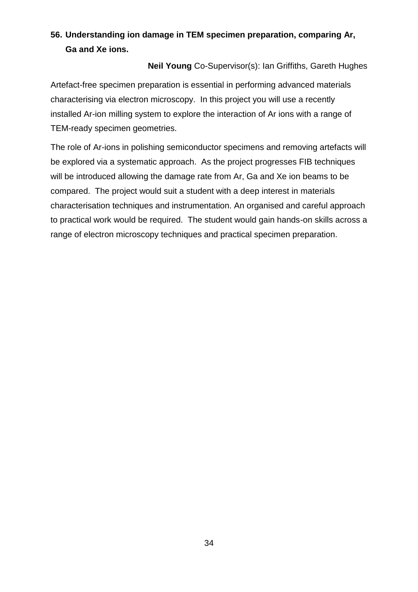# <span id="page-33-0"></span>**56. Understanding ion damage in TEM specimen preparation, comparing Ar, Ga and Xe ions.**

#### **Neil Young** Co-Supervisor(s): Ian Griffiths, Gareth Hughes

<span id="page-33-1"></span>Artefact-free specimen preparation is essential in performing advanced materials characterising via electron microscopy. In this project you will use a recently installed Ar-ion milling system to explore the interaction of Ar ions with a range of TEM-ready specimen geometries.

The role of Ar-ions in polishing semiconductor specimens and removing artefacts will be explored via a systematic approach. As the project progresses FIB techniques will be introduced allowing the damage rate from Ar, Ga and Xe ion beams to be compared. The project would suit a student with a deep interest in materials characterisation techniques and instrumentation. An organised and careful approach to practical work would be required. The student would gain hands-on skills across a range of electron microscopy techniques and practical specimen preparation.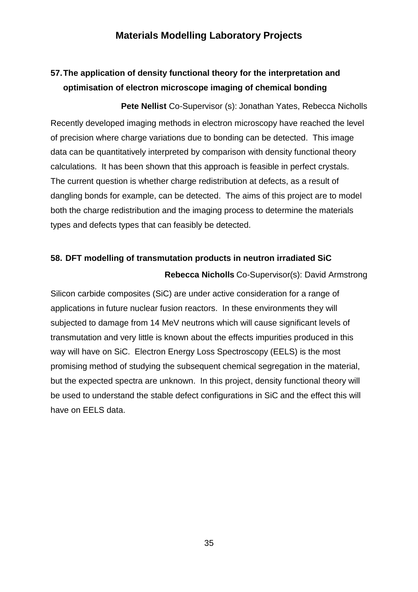## **Materials Modelling Laboratory Projects**

# <span id="page-34-1"></span><span id="page-34-0"></span>**57.The application of density functional theory for the interpretation and optimisation of electron microscope imaging of chemical bonding**

<span id="page-34-2"></span>**Pete Nellist** Co-Supervisor (s): Jonathan Yates, Rebecca Nicholls Recently developed imaging methods in electron microscopy have reached the level of precision where charge variations due to bonding can be detected. This image data can be quantitatively interpreted by comparison with density functional theory calculations. It has been shown that this approach is feasible in perfect crystals. The current question is whether charge redistribution at defects, as a result of dangling bonds for example, can be detected. The aims of this project are to model both the charge redistribution and the imaging process to determine the materials types and defects types that can feasibly be detected.

#### <span id="page-34-4"></span><span id="page-34-3"></span>**58. DFT modelling of transmutation products in neutron irradiated SiC**

#### **Rebecca Nicholls** Co-Supervisor(s): David Armstrong

Silicon carbide composites (SiC) are under active consideration for a range of applications in future nuclear fusion reactors. In these environments they will subjected to damage from 14 MeV neutrons which will cause significant levels of transmutation and very little is known about the effects impurities produced in this way will have on SiC. Electron Energy Loss Spectroscopy (EELS) is the most promising method of studying the subsequent chemical segregation in the material, but the expected spectra are unknown. In this project, density functional theory will be used to understand the stable defect configurations in SiC and the effect this will have on EELS data.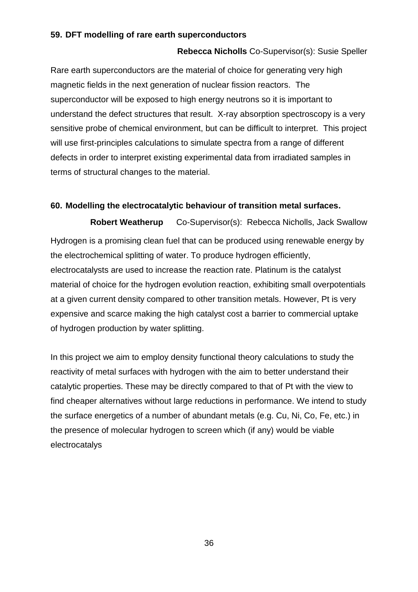#### <span id="page-35-1"></span><span id="page-35-0"></span>**59. DFT modelling of rare earth superconductors**

#### **Rebecca Nicholls** Co-Supervisor(s): Susie Speller

Rare earth superconductors are the material of choice for generating very high magnetic fields in the next generation of nuclear fission reactors. The superconductor will be exposed to high energy neutrons so it is important to understand the defect structures that result. X-ray absorption spectroscopy is a very sensitive probe of chemical environment, but can be difficult to interpret. This project will use first-principles calculations to simulate spectra from a range of different defects in order to interpret existing experimental data from irradiated samples in terms of structural changes to the material.

#### <span id="page-35-2"></span>**60. Modelling the electrocatalytic behaviour of transition metal surfaces.**

<span id="page-35-3"></span>**Robert Weatherup** Co-Supervisor(s): Rebecca Nicholls, Jack Swallow Hydrogen is a promising clean fuel that can be produced using renewable energy by the electrochemical splitting of water. To produce hydrogen efficiently, electrocatalysts are used to increase the reaction rate. Platinum is the catalyst material of choice for the hydrogen evolution reaction, exhibiting small overpotentials at a given current density compared to other transition metals. However, Pt is very expensive and scarce making the high catalyst cost a barrier to commercial uptake of hydrogen production by water splitting.

In this project we aim to employ density functional theory calculations to study the reactivity of metal surfaces with hydrogen with the aim to better understand their catalytic properties. These may be directly compared to that of Pt with the view to find cheaper alternatives without large reductions in performance. We intend to study the surface energetics of a number of abundant metals (e.g. Cu, Ni, Co, Fe, etc.) in the presence of molecular hydrogen to screen which (if any) would be viable electrocatalys

36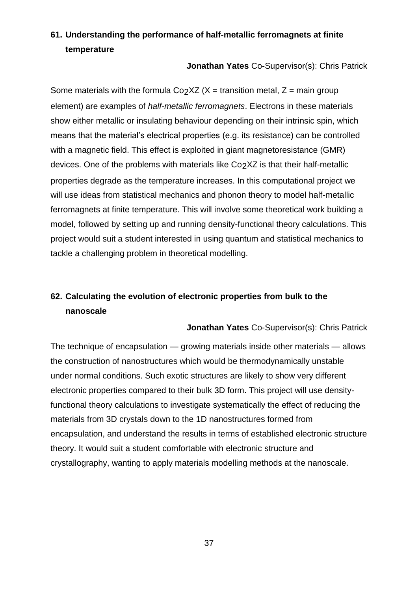# <span id="page-36-0"></span>**61. Understanding the performance of half-metallic ferromagnets at finite temperature**

**Jonathan Yates** Co-Supervisor(s): Chris Patrick

<span id="page-36-1"></span>Some materials with the formula Co<sub>2</sub>XZ ( $X$  = transition metal,  $Z$  = main group element) are examples of *half-metallic ferromagnets*. Electrons in these materials show either metallic or insulating behaviour depending on their intrinsic spin, which means that the material's electrical properties (e.g. its resistance) can be controlled with a magnetic field. This effect is exploited in giant magnetoresistance (GMR) devices. One of the problems with materials like Co2XZ is that their half-metallic properties degrade as the temperature increases. In this computational project we will use ideas from statistical mechanics and phonon theory to model half-metallic ferromagnets at finite temperature. This will involve some theoretical work building a model, followed by setting up and running density-functional theory calculations. This project would suit a student interested in using quantum and statistical mechanics to tackle a challenging problem in theoretical modelling.

# <span id="page-36-2"></span>**62. Calculating the evolution of electronic properties from bulk to the nanoscale**

**Jonathan Yates** Co-Supervisor(s): Chris Patrick

<span id="page-36-3"></span>The technique of encapsulation — growing materials inside other materials — allows the construction of nanostructures which would be thermodynamically unstable under normal conditions. Such exotic structures are likely to show very different electronic properties compared to their bulk 3D form. This project will use densityfunctional theory calculations to investigate systematically the effect of reducing the materials from 3D crystals down to the 1D nanostructures formed from encapsulation, and understand the results in terms of established electronic structure theory. It would suit a student comfortable with electronic structure and crystallography, wanting to apply materials modelling methods at the nanoscale.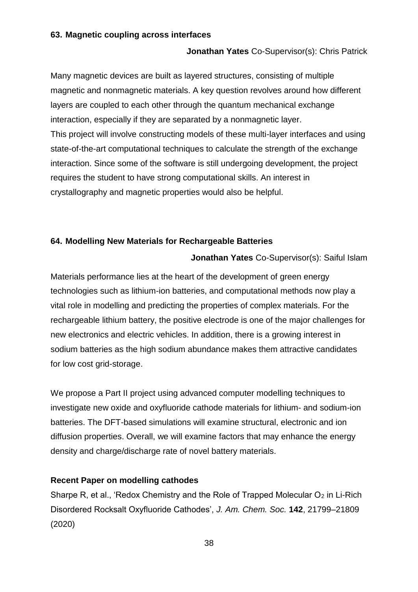#### <span id="page-37-1"></span><span id="page-37-0"></span>**63. Magnetic coupling across interfaces**

#### **Jonathan Yates** Co-Supervisor(s): Chris Patrick

Many magnetic devices are built as layered structures, consisting of multiple magnetic and nonmagnetic materials. A key question revolves around how different layers are coupled to each other through the quantum mechanical exchange interaction, especially if they are separated by a nonmagnetic layer. This project will involve constructing models of these multi-layer interfaces and using state-of-the-art computational techniques to calculate the strength of the exchange interaction. Since some of the software is still undergoing development, the project requires the student to have strong computational skills. An interest in crystallography and magnetic properties would also be helpful.

#### <span id="page-37-3"></span><span id="page-37-2"></span>**64. Modelling New Materials for Rechargeable Batteries**

**Jonathan Yates** Co-Supervisor(s): Saiful Islam

Materials performance lies at the heart of the development of green energy technologies such as lithium-ion batteries, and computational methods now play a vital role in modelling and predicting the properties of complex materials. For the rechargeable lithium battery, the positive electrode is one of the major challenges for new electronics and electric vehicles. In addition, there is a growing interest in sodium batteries as the high sodium abundance makes them attractive candidates for low cost grid-storage.

We propose a Part II project using advanced computer modelling techniques to investigate new oxide and oxyfluoride cathode materials for lithium- and sodium-ion batteries. The DFT-based simulations will examine structural, electronic and ion diffusion properties. Overall, we will examine factors that may enhance the energy density and charge/discharge rate of novel battery materials.

#### **Recent Paper on modelling cathodes**

Sharpe R, et al., 'Redox Chemistry and the Role of Trapped Molecular O<sub>2</sub> in Li-Rich Disordered Rocksalt Oxyfluoride Cathodes', *J. Am. Chem. Soc.* **142**, 21799–21809 (2020)

38